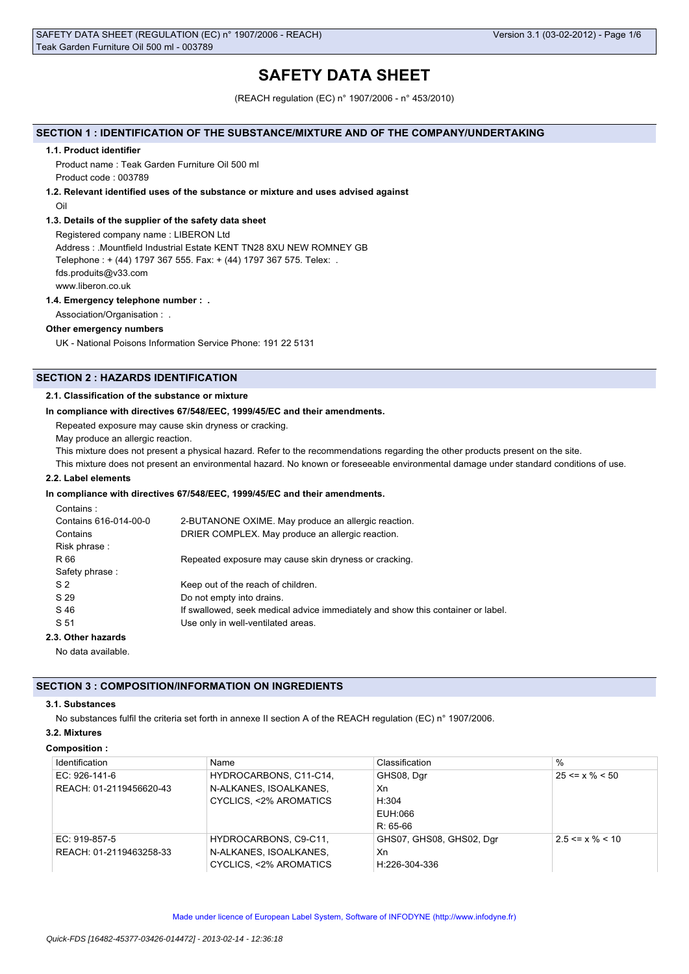# **SAFETY DATA SHEET**

(REACH regulation (EC) n° 1907/2006 - n° 453/2010)

### **SECTION 1 : IDENTIFICATION OF THE SUBSTANCE/MIXTURE AND OF THE COMPANY/UNDERTAKING**

#### **1.1. Product identifier**

Product name : Teak Garden Furniture Oil 500 ml Product code : 003789

#### **1.2. Relevant identified uses of the substance or mixture and uses advised against**

Oil

### **1.3. Details of the supplier of the safety data sheet**

Registered company name : LIBERON Ltd Address : .Mountfield Industrial Estate KENT TN28 8XU NEW ROMNEY GB Telephone : + (44) 1797 367 555. Fax: + (44) 1797 367 575. Telex: . fds.produits@v33.com www.liberon.co.uk

#### **1.4. Emergency telephone number : .**

Association/Organisation : .

### **Other emergency numbers**

UK - National Poisons Information Service Phone: 191 22 5131

## **SECTION 2 : HAZARDS IDENTIFICATION**

### **2.1. Classification of the substance or mixture**

#### **In compliance with directives 67/548/EEC, 1999/45/EC and their amendments.**

Repeated exposure may cause skin dryness or cracking.

May produce an allergic reaction.

This mixture does not present a physical hazard. Refer to the recommendations regarding the other products present on the site.

This mixture does not present an environmental hazard. No known or foreseeable environmental damage under standard conditions of use.

### **2.2. Label elements**

### **In compliance with directives 67/548/EEC, 1999/45/EC and their amendments.**

| Contains:             |                                                                                 |
|-----------------------|---------------------------------------------------------------------------------|
| Contains 616-014-00-0 | 2-BUTANONE OXIME. May produce an allergic reaction.                             |
| Contains              | DRIER COMPLEX. May produce an allergic reaction.                                |
| Risk phrase:          |                                                                                 |
| R 66                  | Repeated exposure may cause skin dryness or cracking.                           |
| Safety phrase:        |                                                                                 |
| S <sub>2</sub>        | Keep out of the reach of children.                                              |
| S 29                  | Do not empty into drains.                                                       |
| S 46                  | If swallowed, seek medical advice immediately and show this container or label. |
| S 51                  | Use only in well-ventilated areas.                                              |
| 2 Other hererde       |                                                                                 |

# **2.3. Other hazards**

No data available.

### **SECTION 3 : COMPOSITION/INFORMATION ON INGREDIENTS**

### **3.1. Substances**

No substances fulfil the criteria set forth in annexe II section A of the REACH regulation (EC) n° 1907/2006.

### **3.2. Mixtures**

### **Composition :**

| Identification          | Name                   | Classification           | $\%$                  |
|-------------------------|------------------------|--------------------------|-----------------------|
| EC: $926-141-6$         | HYDROCARBONS, C11-C14, | GHS08, Dgr               | $25 \le x \% \le 50$  |
| REACH: 01-2119456620-43 | N-ALKANES, ISOALKANES, | Xn                       |                       |
|                         | CYCLICS, <2% AROMATICS | H:304                    |                       |
|                         |                        | EUH:066                  |                       |
|                         |                        | $R: 65-66$               |                       |
| EC: 919-857-5           | HYDROCARBONS, C9-C11.  | GHS07, GHS08, GHS02, Dgr | $2.5 \le x \% \le 10$ |
| REACH: 01-2119463258-33 | N-ALKANES, ISOALKANES. | Xn                       |                       |
|                         | CYCLICS, <2% AROMATICS | H:226-304-336            |                       |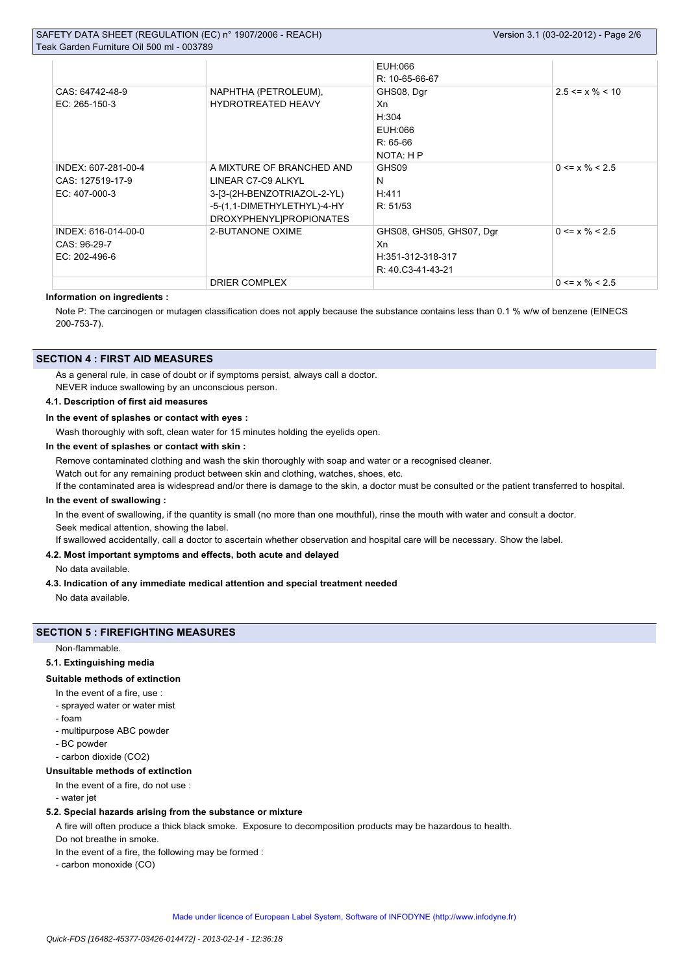# SAFETY DATA SHEET (REGULATION (EC) n° 1907/2006 - REACH)

| Teak Garden Furniture Oil 500 ml - 003789                  |                                                                                                                                          |                                                                          |                       |
|------------------------------------------------------------|------------------------------------------------------------------------------------------------------------------------------------------|--------------------------------------------------------------------------|-----------------------|
|                                                            |                                                                                                                                          | EUH:066<br>R: 10-65-66-67                                                |                       |
| CAS: 64742-48-9<br>EC: 265-150-3                           | NAPHTHA (PETROLEUM),<br><b>HYDROTREATED HEAVY</b>                                                                                        | GHS08, Dgr<br>Xn<br>H:304<br>EUH:066<br>$R: 65-66$<br>NOTA: H P          | $2.5 \le x \% \le 10$ |
| INDEX: 607-281-00-4<br>CAS: 127519-17-9<br>$EC: 407-000-3$ | A MIXTURE OF BRANCHED AND<br>LINEAR C7-C9 ALKYL<br>3-[3-(2H-BENZOTRIAZOL-2-YL)<br>-5-(1,1-DIMETHYLETHYL)-4-HY<br>DROXYPHENYL]PROPIONATES | GHS09<br>N<br>H:411<br>R: 51/53                                          | $0 \le x \% \le 2.5$  |
| INDEX: 616-014-00-0<br>CAS: 96-29-7<br>EC: 202-496-6       | 2-BUTANONE OXIME                                                                                                                         | GHS08, GHS05, GHS07, Dgr<br>Xn<br>H:351-312-318-317<br>R: 40.C3-41-43-21 | $0 \le x \% \le 2.5$  |
|                                                            | <b>DRIER COMPLEX</b>                                                                                                                     |                                                                          | $0 \le x \% \le 2.5$  |

### **Information on ingredients :**

Note P: The carcinogen or mutagen classification does not apply because the substance contains less than 0.1 % w/w of benzene (EINECS 200-753-7).

### **SECTION 4 : FIRST AID MEASURES**

As a general rule, in case of doubt or if symptoms persist, always call a doctor.

NEVER induce swallowing by an unconscious person.

# **4.1. Description of first aid measures**

### **In the event of splashes or contact with eyes :**

Wash thoroughly with soft, clean water for 15 minutes holding the eyelids open.

#### **In the event of splashes or contact with skin :**

Remove contaminated clothing and wash the skin thoroughly with soap and water or a recognised cleaner.

Watch out for any remaining product between skin and clothing, watches, shoes, etc.

If the contaminated area is widespread and/or there is damage to the skin, a doctor must be consulted or the patient transferred to hospital.

### **In the event of swallowing :**

In the event of swallowing, if the quantity is small (no more than one mouthful), rinse the mouth with water and consult a doctor. Seek medical attention, showing the label.

If swallowed accidentally, call a doctor to ascertain whether observation and hospital care will be necessary. Show the label.

### **4.2. Most important symptoms and effects, both acute and delayed**

#### No data available.

#### **4.3. Indication of any immediate medical attention and special treatment needed**

No data available.

#### **SECTION 5 : FIREFIGHTING MEASURES**

Non-flammable.

### **5.1. Extinguishing media**

### **Suitable methods of extinction**

- In the event of a fire, use :
- sprayed water or water mist
- foam
- multipurpose ABC powder
- BC powder
- carbon dioxide (CO2)

#### **Unsuitable methods of extinction**

#### In the event of a fire, do not use :

- water jet

#### **5.2. Special hazards arising from the substance or mixture**

A fire will often produce a thick black smoke. Exposure to decomposition products may be hazardous to health.

- Do not breathe in smoke.
- In the event of a fire, the following may be formed :
- carbon monoxide (CO)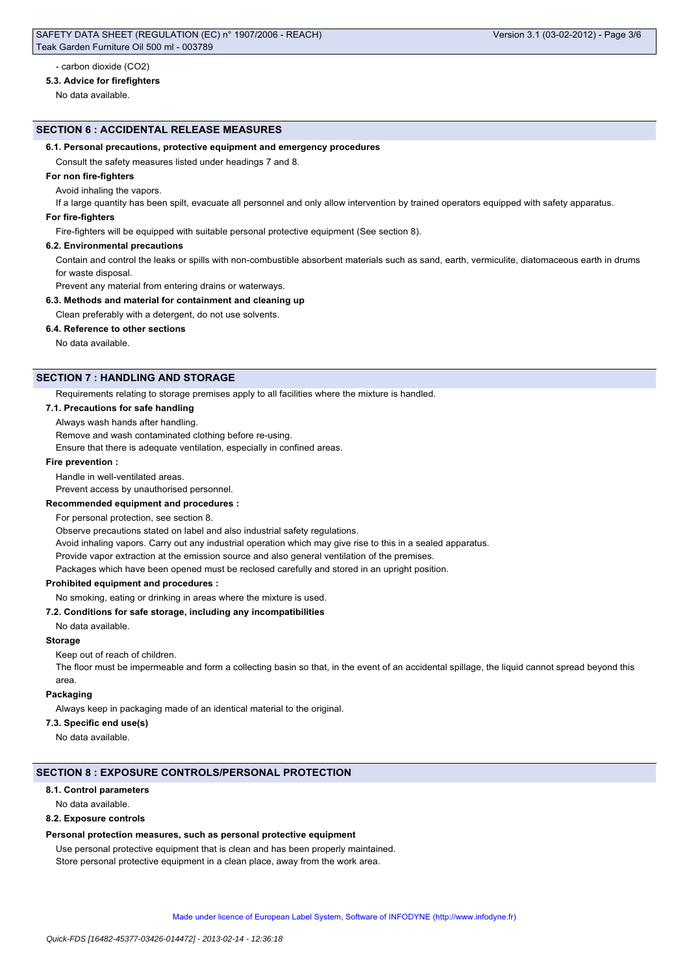#### - carbon dioxide (CO2)

#### **5.3. Advice for firefighters**

No data available.

#### **SECTION 6 : ACCIDENTAL RELEASE MEASURES**

#### **6.1. Personal precautions, protective equipment and emergency procedures**

Consult the safety measures listed under headings 7 and 8.

#### **For non fire-fighters**

Avoid inhaling the vapors.

If a large quantity has been spilt, evacuate all personnel and only allow intervention by trained operators equipped with safety apparatus.

#### **For fire-fighters**

Fire-fighters will be equipped with suitable personal protective equipment (See section 8).

#### **6.2. Environmental precautions**

Contain and control the leaks or spills with non-combustible absorbent materials such as sand, earth, vermiculite, diatomaceous earth in drums for waste disposal.

Prevent any material from entering drains or waterways.

**6.3. Methods and material for containment and cleaning up**

Clean preferably with a detergent, do not use solvents.

#### **6.4. Reference to other sections**

No data available.

### **SECTION 7 : HANDLING AND STORAGE**

Requirements relating to storage premises apply to all facilities where the mixture is handled.

#### **7.1. Precautions for safe handling**

#### Always wash hands after handling.

Remove and wash contaminated clothing before re-using.

Ensure that there is adequate ventilation, especially in confined areas.

#### **Fire prevention :**

Handle in well-ventilated areas.

### Prevent access by unauthorised personnel.

#### **Recommended equipment and procedures :**

For personal protection, see section 8.

Observe precautions stated on label and also industrial safety regulations.

Avoid inhaling vapors. Carry out any industrial operation which may give rise to this in a sealed apparatus.

Provide vapor extraction at the emission source and also general ventilation of the premises.

Packages which have been opened must be reclosed carefully and stored in an upright position.

#### **Prohibited equipment and procedures :**

No smoking, eating or drinking in areas where the mixture is used.

#### **7.2. Conditions for safe storage, including any incompatibilities**

### No data available.

### **Storage**

Keep out of reach of children.

The floor must be impermeable and form a collecting basin so that, in the event of an accidental spillage, the liquid cannot spread beyond this area.

#### **Packaging**

Always keep in packaging made of an identical material to the original.

### **7.3. Specific end use(s)**

No data available.

### **SECTION 8 : EXPOSURE CONTROLS/PERSONAL PROTECTION**

### **8.1. Control parameters**

No data available.

### **8.2. Exposure controls**

#### **Personal protection measures, such as personal protective equipment**

Use personal protective equipment that is clean and has been properly maintained. Store personal protective equipment in a clean place, away from the work area.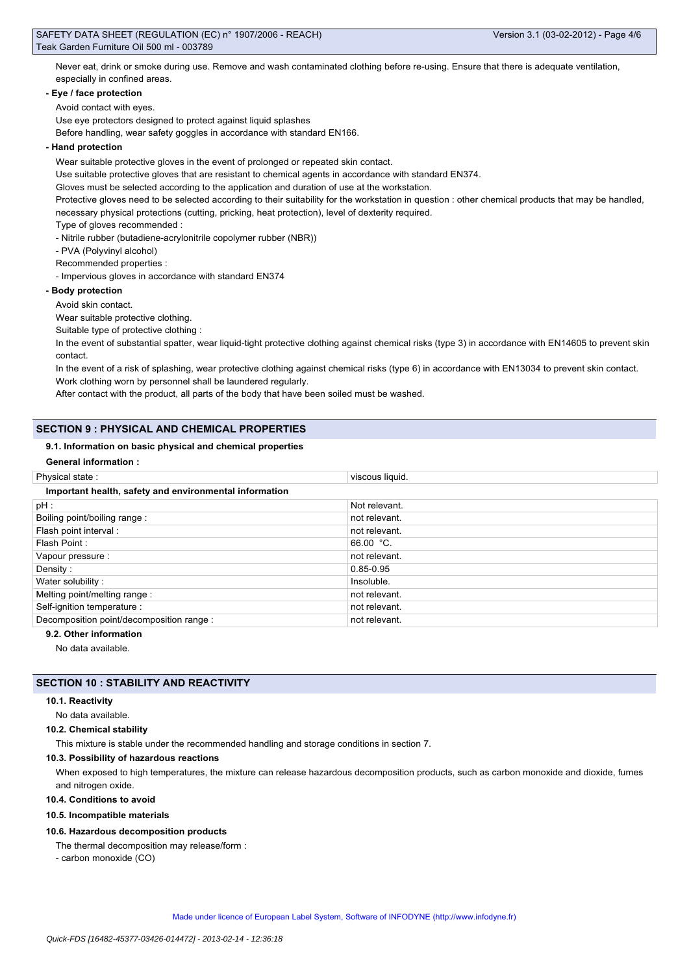Never eat, drink or smoke during use. Remove and wash contaminated clothing before re-using. Ensure that there is adequate ventilation, especially in confined areas.

#### **- Eye / face protection**

Avoid contact with eyes.

Use eye protectors designed to protect against liquid splashes

Before handling, wear safety goggles in accordance with standard EN166.

#### **- Hand protection**

Wear suitable protective gloves in the event of prolonged or repeated skin contact.

Use suitable protective gloves that are resistant to chemical agents in accordance with standard EN374.

Gloves must be selected according to the application and duration of use at the workstation.

Protective gloves need to be selected according to their suitability for the workstation in question : other chemical products that may be handled, necessary physical protections (cutting, pricking, heat protection), level of dexterity required.

Type of gloves recommended :

- Nitrile rubber (butadiene-acrylonitrile copolymer rubber (NBR))

- PVA (Polyvinyl alcohol)

Recommended properties :

- Impervious gloves in accordance with standard EN374

#### **- Body protection**

Avoid skin contact.

Wear suitable protective clothing.

Suitable type of protective clothing :

In the event of substantial spatter, wear liquid-tight protective clothing against chemical risks (type 3) in accordance with EN14605 to prevent skin contact.

In the event of a risk of splashing, wear protective clothing against chemical risks (type 6) in accordance with EN13034 to prevent skin contact. Work clothing worn by personnel shall be laundered regularly.

After contact with the product, all parts of the body that have been soiled must be washed.

### **SECTION 9 : PHYSICAL AND CHEMICAL PROPERTIES**

#### **9.1. Information on basic physical and chemical properties**

|  | <b>General information:</b> |  |
|--|-----------------------------|--|
|--|-----------------------------|--|

| Physical state:                                        | viscous liquid. |  |
|--------------------------------------------------------|-----------------|--|
| Important health, safety and environmental information |                 |  |
| pH:                                                    | Not relevant.   |  |
| Boiling point/boiling range:                           | not relevant.   |  |
| Flash point interval :                                 | not relevant.   |  |
| Flash Point:                                           | 66.00 $°C.$     |  |
| Vapour pressure :                                      | not relevant.   |  |
| Density:                                               | 0.85-0.95       |  |
| Water solubility:                                      | Insoluble.      |  |
| Melting point/melting range:                           | not relevant.   |  |
| Self-ignition temperature :                            | not relevant.   |  |
| Decomposition point/decomposition range :              | not relevant.   |  |
|                                                        |                 |  |

### **9.2. Other information**

No data available.

### **SECTION 10 : STABILITY AND REACTIVITY**

### **10.1. Reactivity**

No data available.

#### **10.2. Chemical stability**

This mixture is stable under the recommended handling and storage conditions in section 7.

#### **10.3. Possibility of hazardous reactions**

When exposed to high temperatures, the mixture can release hazardous decomposition products, such as carbon monoxide and dioxide, fumes and nitrogen oxide.

#### **10.4. Conditions to avoid**

**10.5. Incompatible materials**

### **10.6. Hazardous decomposition products**

The thermal decomposition may release/form :

- carbon monoxide (CO)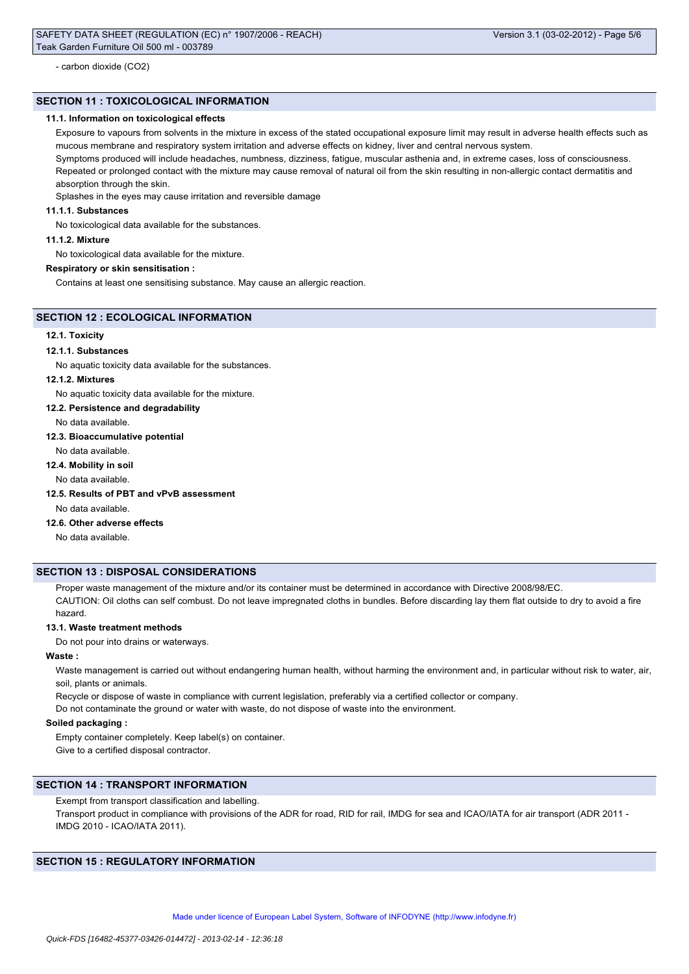- carbon dioxide (CO2)

### **SECTION 11 : TOXICOLOGICAL INFORMATION**

#### **11.1. Information on toxicological effects**

Exposure to vapours from solvents in the mixture in excess of the stated occupational exposure limit may result in adverse health effects such as mucous membrane and respiratory system irritation and adverse effects on kidney, liver and central nervous system.

Symptoms produced will include headaches, numbness, dizziness, fatigue, muscular asthenia and, in extreme cases, loss of consciousness. Repeated or prolonged contact with the mixture may cause removal of natural oil from the skin resulting in non-allergic contact dermatitis and absorption through the skin.

Splashes in the eyes may cause irritation and reversible damage

### **11.1.1. Substances**

No toxicological data available for the substances.

#### **11.1.2. Mixture**

No toxicological data available for the mixture.

#### **Respiratory or skin sensitisation :**

Contains at least one sensitising substance. May cause an allergic reaction.

### **SECTION 12 : ECOLOGICAL INFORMATION**

### **12.1. Toxicity**

#### **12.1.1. Substances**

No aquatic toxicity data available for the substances.

#### **12.1.2. Mixtures**

No aquatic toxicity data available for the mixture.

**12.2. Persistence and degradability**

### No data available.

**12.3. Bioaccumulative potential**

No data available.

# **12.4. Mobility in soil**

No data available.

#### **12.5. Results of PBT and vPvB assessment**

No data available.

#### **12.6. Other adverse effects**

No data available.

### **SECTION 13 : DISPOSAL CONSIDERATIONS**

Proper waste management of the mixture and/or its container must be determined in accordance with Directive 2008/98/EC. CAUTION: Oil cloths can self combust. Do not leave impregnated cloths in bundles. Before discarding lay them flat outside to dry to avoid a fire hazard.

#### **13.1. Waste treatment methods**

Do not pour into drains or waterways.

### **Waste :**

Waste management is carried out without endangering human health, without harming the environment and, in particular without risk to water, air, soil, plants or animals.

Recycle or dispose of waste in compliance with current legislation, preferably via a certified collector or company.

Do not contaminate the ground or water with waste, do not dispose of waste into the environment.

#### **Soiled packaging :**

Empty container completely. Keep label(s) on container. Give to a certified disposal contractor.

#### **SECTION 14 : TRANSPORT INFORMATION**

Exempt from transport classification and labelling.

Transport product in compliance with provisions of the ADR for road, RID for rail, IMDG for sea and ICAO/IATA for air transport (ADR 2011 -IMDG 2010 - ICAO/IATA 2011).

### **SECTION 15 : REGULATORY INFORMATION**